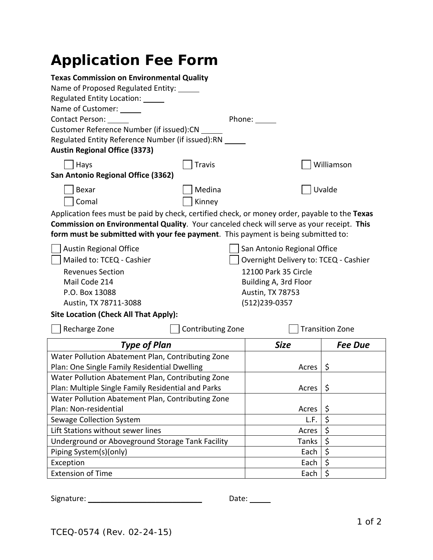# **Application Fee Form**

| <b>Texas Commission on Environmental Quality</b>                                              |                                          |                             |                        |  |
|-----------------------------------------------------------------------------------------------|------------------------------------------|-----------------------------|------------------------|--|
|                                                                                               | Name of Proposed Regulated Entity: _____ |                             |                        |  |
| Regulated Entity Location:                                                                    |                                          |                             |                        |  |
| Name of Customer: 1988                                                                        |                                          |                             |                        |  |
| Contact Person: ____                                                                          |                                          | Phone: _____                |                        |  |
| Customer Reference Number (if issued):CN                                                      |                                          |                             |                        |  |
| Regulated Entity Reference Number (if issued):RN                                              |                                          |                             |                        |  |
| <b>Austin Regional Office (3373)</b>                                                          |                                          |                             |                        |  |
| Hays                                                                                          | <b>Travis</b>                            |                             | Williamson             |  |
| San Antonio Regional Office (3362)                                                            |                                          |                             |                        |  |
| Bexar                                                                                         | Medina                                   |                             | Uvalde                 |  |
| Comal                                                                                         | Kinney                                   |                             |                        |  |
| Application fees must be paid by check, certified check, or money order, payable to the Texas |                                          |                             |                        |  |
| Commission on Environmental Quality. Your canceled check will serve as your receipt. This     |                                          |                             |                        |  |
| form must be submitted with your fee payment. This payment is being submitted to:             |                                          |                             |                        |  |
| <b>Austin Regional Office</b>                                                                 |                                          | San Antonio Regional Office |                        |  |
| Mailed to: TCEQ - Cashier<br>Overnight Delivery to: TCEQ - Cashier                            |                                          |                             |                        |  |
| <b>Revenues Section</b>                                                                       | 12100 Park 35 Circle                     |                             |                        |  |
| Mail Code 214                                                                                 |                                          | Building A, 3rd Floor       |                        |  |
| P.O. Box 13088                                                                                | Austin, TX 78753                         |                             |                        |  |
| Austin, TX 78711-3088                                                                         |                                          | (512)239-0357               |                        |  |
| <b>Site Location (Check All That Apply):</b>                                                  |                                          |                             |                        |  |
| Recharge Zone                                                                                 | Contributing Zone                        |                             | <b>Transition Zone</b> |  |
| <b>Type of Plan</b>                                                                           |                                          | <b>Size</b>                 | <b>Fee Due</b>         |  |
| Water Pollution Abatement Plan, Contributing Zone                                             |                                          |                             |                        |  |
| Plan: One Single Family Residential Dwelling                                                  |                                          | Acres                       | \$                     |  |
| Water Pollution Abatement Plan, Contributing Zone                                             |                                          |                             |                        |  |
| Plan: Multiple Single Family Residential and Parks                                            |                                          | Acres                       | \$                     |  |
| Water Pollution Abatement Plan, Contributing Zone                                             |                                          |                             |                        |  |
| Plan: Non-residential                                                                         |                                          | Acres                       | \$                     |  |
| Sewage Collection System                                                                      |                                          | L.F.                        | \$                     |  |
| Lift Stations without sewer lines                                                             |                                          | Acres                       | \$                     |  |
| Underground or Aboveground Storage Tank Facility                                              |                                          | Tanks                       | \$                     |  |
| Piping System(s)(only)                                                                        |                                          | Each                        | \$                     |  |
| Exception                                                                                     |                                          | Each                        | \$                     |  |
| <b>Extension of Time</b>                                                                      |                                          | Each                        | \$                     |  |

Signature: \_\_\_\_\_\_\_\_\_\_\_\_\_\_\_\_\_\_\_\_\_\_\_\_\_\_\_ Date: